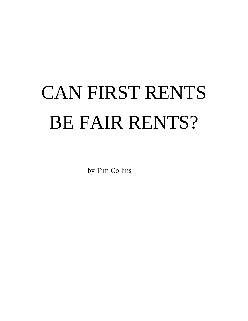# CAN FIRST RENTS BE FAIR RENTS?

by Tim Collins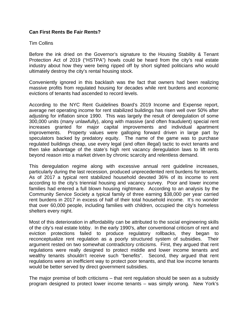## **Can First Rents Be Fair Rents?**

#### Tim Collins

Before the ink dried on the Governor's signature to the Housing Stability & Tenant Protection Act of 2019 ("HSTPA") howls could be heard from the city's real estate industry about how they were being ripped off by short sighted politicians who would ultimately destroy the city's rental housing stock.

Conveniently ignored in this backlash was the fact that owners had been realizing massive profits from regulated housing for decades while rent burdens and economic evictions of tenants had ascended to record levels.

According to the NYC Rent Guidelines Board's 2019 Income and Expense report, average net operating income for rent stabilized buildings has risen well over 50% after adjusting for inflation since 1990. This was largely the result of deregulation of some 300,000 units (many unlawfully), along with massive (and often fraudulent) special rent increases granted for major capital improvements and individual apartment improvements. Property values were galloping forward driven in large part by speculators backed by predatory equity. The name of the game was to purchase regulated buildings cheap, use every legal (and often illegal) tactic to evict tenants and then take advantage of the state's high rent vacancy deregulation laws to lift rents beyond reason into a market driven by chronic scarcity and relentless demand.

This deregulation regime along with excessive annual rent guideline increases, particularly during the last recession, produced unprecedented rent burdens for tenants. As of 2017 a typical rent stabilized household devoted 36% of its income to rent according to the city's triennial housing and vacancy survey. Poor and lower income families had entered a full blown housing nightmare. According to an analysis by the Community Service Society a typical family of three earning \$38,000 per year carried rent burdens in 2017 in excess of half of their total household income. It's no wonder that over 60,000 people, including families with children, occupied the city's homeless shelters every night.

Most of this deterioration in affordability can be attributed to the social engineering skills of the city's real estate lobby. In the early 1990's, after conventional criticism of rent and eviction protections failed to produce regulatory rollbacks, they began to reconceptualize rent regulation as a poorly structured system of subsidies. Their argument rested on two somewhat contradictory criticisms. First, they argued that rent regulations were really designed to protect middle and lower income tenants and wealthy tenants shouldn't receive such "benefits". Second, they argued that rent regulations were an inefficient way to protect poor tenants, and that low income tenants would be better served by direct government subsidies.

The major premise of both criticisms – that rent regulation should be seen as a subsidy program designed to protect lower income tenants – was simply wrong. New York's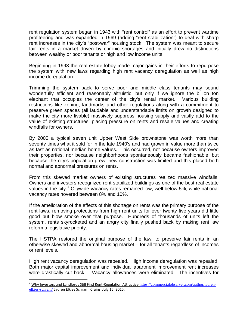rent regulation system began in 1943 with "rent control" as an effort to prevent wartime profiteering and was expanded in 1969 (adding "rent stabilization") to deal with sharp rent increases in the city's "post-war" housing stock. The system was meant to secure fair rents in a market driven by chronic shortages and initially drew no distinctions between wealthy or poor tenants or high and low income units.

Beginning in 1993 the real estate lobby made major gains in their efforts to repurpose the system with new laws regarding high rent vacancy deregulation as well as high income deregulation.

Trimming the system back to serve poor and middle class tenants may sound wonderfully efficient and reasonably altruistic, but only if we ignore the billion ton elephant that occupies the center of the city's rental market. Various building restrictions like zoning, landmarks and other regulations along with a commitment to preserve green spaces (all laudable and understandable limits on growth designed to make the city more livable) massively suppress housing supply and vastly add to the value of existing structures, placing pressure on rents and resale values and creating windfalls for owners.

By 2005 a typical seven unit Upper West Side brownstone was worth more than seventy times what it sold for in the late 1940's and had grown in value more than twice as fast as national median home values. This occurred, not because owners improved their properties, nor because neighborhoods spontaneously became fashionable, but because the city's population grew, new construction was limited and this placed both normal and abnormal pressures on rents.

From this skewed market owners of existing structures realized massive windfalls. Owners and investors recognized rent stabilized buildings as one of the best real estate values in the city.<sup>[1](#page-2-0)</sup> Citywide vacancy rates remained low, well below 5%, while national vacancy rates hovered between 8% and 10%.

If the amelioration of the effects of this shortage on rents was the primary purpose of the rent laws, removing protections from high rent units for over twenty five years did little good but blow smoke over that purpose. Hundreds of thousands of units left the system, rents skyrocketed and an angry city finally pushed back by making rent law reform a legislative priority.

The HSTPA restored the original purpose of the law: to preserve fair rents in an otherwise skewed and abnormal housing market – for all tenants regardless of incomes or rent levels.

High rent vacancy deregulation was repealed. High income deregulation was repealed. Both major capital improvement and individual apartment improvement rent increases were drastically cut back. Vacancy allowances were eliminated. The incentives for

<span id="page-2-0"></span><sup>&</sup>lt;sup>1</sup> Why Investors and Landlords Still Find Rent-Regulation Attractive, [https://commercialobserver.com/author/lauren](https://commercialobserver.com/author/lauren-elkies-schram/)[elkies-schram/](https://commercialobserver.com/author/lauren-elkies-schram/) Lauren Elkies Schram, Crains, July 15, 2015.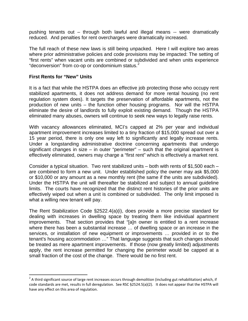pushing tenants out – through both lawful and illegal means -- were dramatically reduced. And penalties for rent overcharges were dramatically increased.

The full reach of these new laws is still being unpacked. Here I will explore two areas where prior administrative policies and code provisions may be impacted: The setting of "first rents" when vacant units are combined or subdivided and when units experience "deconversion" from co-op or condominium status. $2$ 

#### **First Rents for "New" Units**

It is a fact that while the HSTPA does an effective job protecting those who occupy rent stabilized apartments, it does not address demand for more rental housing (no rent regulation system does). It targets the preservation of affordable apartments, not the production of new units – the function other housing programs. Nor will the HSTPA eliminate the desire of landlords to fully exploit existing demand. Though the HSTPA eliminated many abuses, owners will continue to seek new ways to legally raise rents.

With vacancy allowances eliminated, MCI's capped at 2% per year and individual apartment improvement increases limited to a tiny fraction of \$15,000 spread out over a 15 year period, there is only one way left to significantly and legally increase rents. Under a longstanding administrative doctrine concerning apartments that undergo significant changes in size – in outer "perimeter" – such that the original apartment is effectively eliminated, owners may charge a "first rent" which is effectively a market rent.

Consider a typical situation. Two rent stabilized units – both with rents of \$1,500 each – are combined to form a new unit. Under established policy the owner may ask \$5,000 or \$10,000 or any amount as a new monthly rent (the same if the units are subdivided). Under the HSTPA the unit will thereafter be stabilized and subject to annual guideline limits. The courts have recognized that the distinct rent histories of the prior units are effectively wiped out when a unit is combined or subdivided. The only limit imposed is what a willing new tenant will pay.

The Rent Stabilization Code §2522.4(a)(i), does provide a more precise standard for dealing with increases in dwelling space by treating them like individual apartment improvements. That section provides that "[a]n owner is entitled to a rent increase where there has been a substantial increase … of dwelling space or an increase in the services, or installation of new equipment or improvements … provided in or to the tenant's housing accommodation …" That language suggests that such changes should be treated as mere apartment improvements. If those (now greatly limited) adjustments apply, the rent increase permitted for changing the perimeter would be capped at a small fraction of the cost of the change. There would be no first rent.

<span id="page-3-0"></span> $2$  A third significant source of large rent increases occurs through demolition (including gut rehabilitation) which, if code standards are met, results in full deregulation. See RSC §2524.5(a)(2). It does not appear that the HSTPA will have any effect on this area of regulation.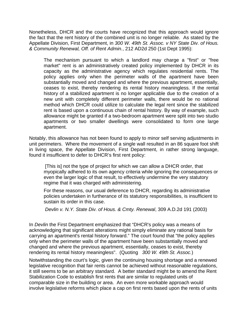Nonetheless, DHCR and the courts have recognized that this approach would ignore the fact that the rent history of the combined unit is no longer reliable. As stated by the Appellate Division, First Department, in *300 W. 49th St. Assoc. v NY State Div. of Hous. & Community Renewal, Off. of Rent Admin.*, 212 AD2d 250 (1st Dept 1995):

The mechanism pursuant to which a landlord may charge a "first" or "free market" rent is an administratively created policy implemented by DHCR in its capacity as the administrative agency which regulates residential rents. The policy applies only when the perimeter walls of the apartment have been substantially moved and changed and where the previous apartment, essentially, ceases to exist, thereby rendering its rental history meaningless. If the rental history of a stabilized apartment is no longer applicable due to the creation of a new unit with completely different perimeter walls, there would be no rational method which DHCR could utilize to calculate the legal rent since the stabilized rent is based upon a continuous chain of rental history. By way of example, such allowance might be granted if a two-bedroom apartment were split into two studio apartments or two smaller dwellings were consolidated to form one large apartment.

Notably, this allowance has not been found to apply to minor self serving adjustments in unit perimeters. Where the movement of a single wall resulted in an 86 square foot shift in living space, the Appellate Division, First Department, in rather strong language, found it insufficient to defer to DHCR's first rent policy:

[This is] not the type of project for which we can allow a DHCR order, that myopically adhered to its own agency criteria while ignoring the consequences or even the larger logic of that result, to effectively undermine the very statutory regime that it was charged with administering.

For these reasons, our usual deference to DHCR, regarding its administrative policies undertaken in furtherance of its statutory responsibilities, is insufficient to sustain its order in this case.

*Devlin v. N.Y. State Div. of Hous. & Cmty. Renewal*, 309 A.D.2d 191 (2003)

In *Devlin* the First Department emphasized that "DHCR's policy was a means of acknowledging that significant alterations might simply eliminate any rational basis for carrying an apartment's rental history forward." The court found that "the policy applies only when the perimeter walls of the apartment have been substantially moved and changed and where the previous apartment, essentially, ceases to exist, thereby rendering its rental history meaningless". (Quoting *300 W. 49th St. Assoc.*)

Notwithstanding the court's logic, given the continuing housing shortage and a renewed legislative recognition that fair rents cannot be achieved without reasonable regulations, it still seems to be an arbitrary standard. A better standard might be to amend the Rent Stabilization Code to establish first rents that are similar to regulated units of comparable size in the building or area. An even more workable approach would involve legislative reforms which place a cap on first rents based upon the rents of units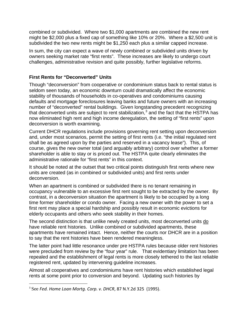combined or subdivided. Where two \$1,000 apartments are combined the new rent might be \$2,000 plus a fixed cap of something like 10% or 20%. Where a \$2,500 unit is subdivided the two new rents might be \$1,250 each plus a similar capped increase.

In sum, the city can expect a wave of newly combined or subdivided units driven by owners seeking market rate "first rents". These increases are likely to undergo court challenges, administrative revision and quite possibly, further legislative reforms.

# **First Rents for "Deconverted" Units**

Though "deconversion" from cooperative or condominium status back to rental status is seldom seen today, an economic downturn could dramatically affect the economic stability of thousands of households in co-operatives and condominiums causing defaults and mortgage foreclosures leaving banks and future owners with an increasing number of "deconverted" rental buildings. Given longstanding precedent recognizing that deconverted units are subject to rent stabilization, $3$  and the fact that the HSTPA has now eliminated high rent and high income deregulation, the setting of "first rents" upon deconversion is worth examining.

Current DHCR regulations include provisions governing rent setting upon deconversion and, under most scenarios, permit the setting of first rents (i.e. "the initial regulated rent shall be as agreed upon by the parties and reserved in a vacancy lease"). This, of course, gives the new owner total (and arguably arbitrary) control over whether a former shareholder is able to stay or is priced out. The HSTPA quite clearly eliminates the administrative rationale for "first rents" in this context.

It should be noted at the outset that two critical points distinguish first rents where new units are created (as in combined or subdivided units) and first rents under deconversion.

When an apartment is combined or subdivided there is no tenant remaining in occupancy vulnerable to an excessive first rent sought to be extracted by the owner. By contrast, in a deconversion situation the apartment is likely to be occupied by a long time former shareholder or condo owner. Facing a new owner with the power to set a first rent may place a special hardship and possibly result in economic evictions for elderly occupants and others who seek stability in their homes.

The second distinction is that unlike newly created units, most deconverted units do have reliable rent histories. Unlike combined or subdivided apartments, these apartments have remained intact. Hence, neither the courts nor DHCR are in a position to say that the rent histories have been rendered meaningless.

The latter point had little resonance under pre HSTPA rules because older rent histories were precluded from review by the "four year" rule. That evidentiary limitation has been repealed and the establishment of legal rents is more closely tethered to the last reliable registered rent, updated by intervening guideline increases.

Almost all cooperatives and condominiums have rent histories which established legal rents at some point prior to conversion and beyond. Updating such histories by

<span id="page-5-0"></span> <sup>3</sup> See *Fed. Home Loan Mortg. Corp. v. DHCR*, 87 N.Y.2d 325 (1995).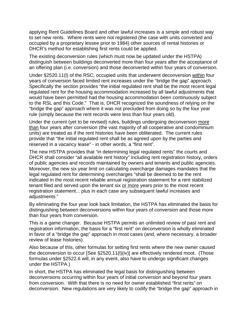applying Rent Guidelines Board and other lawful increases is a simple and robust way to set new rents. Where rents were not registered (the case with units converted and occupied by a proprietary lessee prior to 1984) other sources of rental histories or DHCR's method for establishing first rents could be applied.

The existing deconversion rules (which must now be updated under the HSTPA) distinguish between buildings deconverted more than four years after the acceptance of an offering plan (i.e. conversion) and those deconverted within four years of conversion.

Under §2520.11(l) of the RSC, occupied units that underwent deconversion within four years of conversion faced limited rent increases under the "bridge the gap" approach. Specifically the section provides "the initial regulated rent shall be the most recent legal regulated rent for the housing accommodation increased by all lawful adjustments that would have been permitted had the housing accommodation been continuously subject to the RSL and this Code." That is, DHCR recognized the soundness of relying on the "bridge the gap" approach where it was not precluded from doing so by the four year rule (simply because the rent records were less than four years old).

Under the current (yet to be revised) rules, buildings undergoing deconversion more than four years after conversion (the vast majority of all cooperative and condominium units) are treated as if the rent histories have been obliterated. The current rules provide that "the initial regulated rent shall be as agreed upon by the parties and reserved in a vacancy lease" - in other words, a "first rent".

The new HSTPA provides that "in determining legal regulated rents" the courts and DHCR shall consider "all available rent history" including rent registration history, orders of public agencies and records maintained by owners and tenants and public agencies. Moreover, the new six year limit on calculating overcharge damages mandates that the legal regulated rent for determining overcharges "shall be deemed to be the rent indicated in the most recent reliable annual registration statement for a rent stabilized tenant filed and served upon the tenant six or more years prior to the most recent registration statement... plus in each case any subsequent lawful increases and adjustments."

By eliminating the four year look back limitation, the HSTPA has eliminated the basis for distinguishing between deconversions within four years of conversion and those more than four years from conversion.

This is a game changer. Because HSTPA permits an unlimited review of past rent and registration information, the basis for a "first rent" on deconversion is wholly eliminated in favor of a "bridge the gap" approach in most cases (and, where necessary, a broader review of lease histories).

Also because of this, other formulas for setting first rents where the new owner caused the deconversion to occur [See §2520.11(l)(iv)] are effectively rendered moot. (Those formulas under §2522.6 will, in any event, also have to undergo significant changes under the HSTPA.)

In short, the HSTPA has eliminated the legal basis for distinguishing between deconversions occurring within four years of initial conversion and beyond four years from conversion. With that there is no need for owner established "first rents" on deconversion. New regulations are very likely to codify the "bridge the gap" approach in